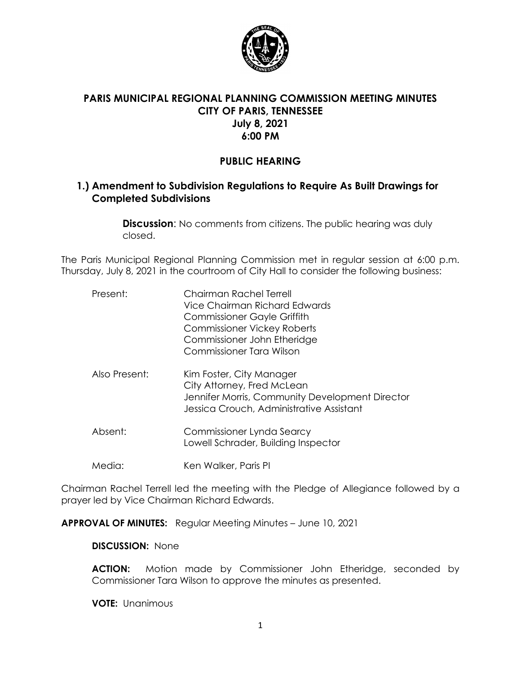

## **PARIS MUNICIPAL REGIONAL PLANNING COMMISSION MEETING MINUTES CITY OF PARIS, TENNESSEE July 8, 2021 6:00 PM**

# **PUBLIC HEARING**

### **1.) Amendment to Subdivision Regulations to Require As Built Drawings for Completed Subdivisions**

**Discussion:** No comments from citizens. The public hearing was duly closed.

The Paris Municipal Regional Planning Commission met in regular session at 6:00 p.m. Thursday, July 8, 2021 in the courtroom of City Hall to consider the following business:

| Present:      | Chairman Rachel Terrell<br>Vice Chairman Richard Edwards<br>Commissioner Gayle Griffith<br><b>Commissioner Vickey Roberts</b><br>Commissioner John Etheridge<br>Commissioner Tara Wilson |
|---------------|------------------------------------------------------------------------------------------------------------------------------------------------------------------------------------------|
| Also Present: | Kim Foster, City Manager<br>City Attorney, Fred McLean<br>Jennifer Morris, Community Development Director<br>Jessica Crouch, Administrative Assistant                                    |
| Absent:       | Commissioner Lynda Searcy<br>Lowell Schrader, Building Inspector                                                                                                                         |
| Media:        | Ken Walker, Paris PI                                                                                                                                                                     |

Chairman Rachel Terrell led the meeting with the Pledge of Allegiance followed by a prayer led by Vice Chairman Richard Edwards.

**APPROVAL OF MINUTES:** Regular Meeting Minutes – June 10, 2021

**DISCUSSION:** None

**ACTION:** Motion made by Commissioner John Etheridge, seconded by Commissioner Tara Wilson to approve the minutes as presented.

**VOTE:** Unanimous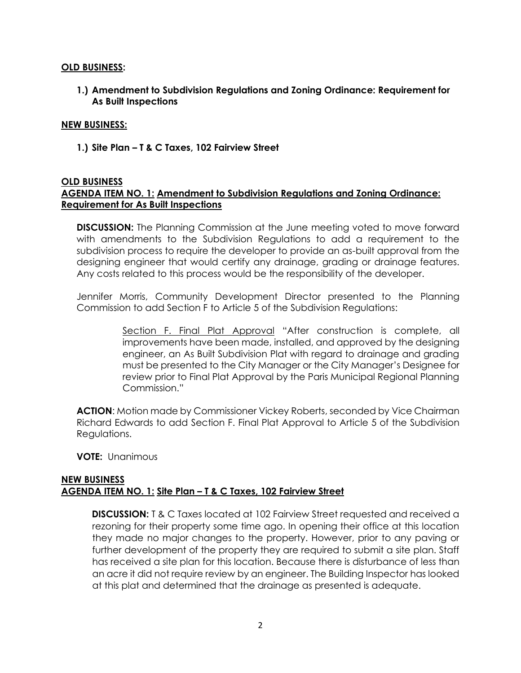#### **OLD BUSINESS:**

**1.) Amendment to Subdivision Regulations and Zoning Ordinance: Requirement for As Built Inspections**

#### **NEW BUSINESS:**

**1.) Site Plan – T & C Taxes, 102 Fairview Street**

#### **OLD BUSINESS AGENDA ITEM NO. 1: Amendment to Subdivision Regulations and Zoning Ordinance: Requirement for As Built Inspections**

**DISCUSSION:** The Planning Commission at the June meeting voted to move forward with amendments to the Subdivision Regulations to add a requirement to the subdivision process to require the developer to provide an as-built approval from the designing engineer that would certify any drainage, grading or drainage features. Any costs related to this process would be the responsibility of the developer.

Jennifer Morris, Community Development Director presented to the Planning Commission to add Section F to Article 5 of the Subdivision Regulations:

> Section F. Final Plat Approval "After construction is complete, all improvements have been made, installed, and approved by the designing engineer, an As Built Subdivision Plat with regard to drainage and grading must be presented to the City Manager or the City Manager's Desianee for review prior to Final Plat Approval by the Paris Municipal Regional Planning Commission."

**ACTION**: Motion made by Commissioner Vickey Roberts, seconded by Vice Chairman Richard Edwards to add Section F. Final Plat Approval to Article 5 of the Subdivision Regulations.

**VOTE:** Unanimous

#### **NEW BUSINESS AGENDA ITEM NO. 1: Site Plan – T & C Taxes, 102 Fairview Street**

**DISCUSSION:** T & C Taxes located at 102 Fairview Street requested and received a rezoning for their property some time ago. In opening their office at this location they made no major changes to the property. However, prior to any paving or further development of the property they are required to submit a site plan. Staff has received a site plan for this location. Because there is disturbance of less than an acre it did not require review by an engineer. The Building Inspector has looked at this plat and determined that the drainage as presented is adequate.